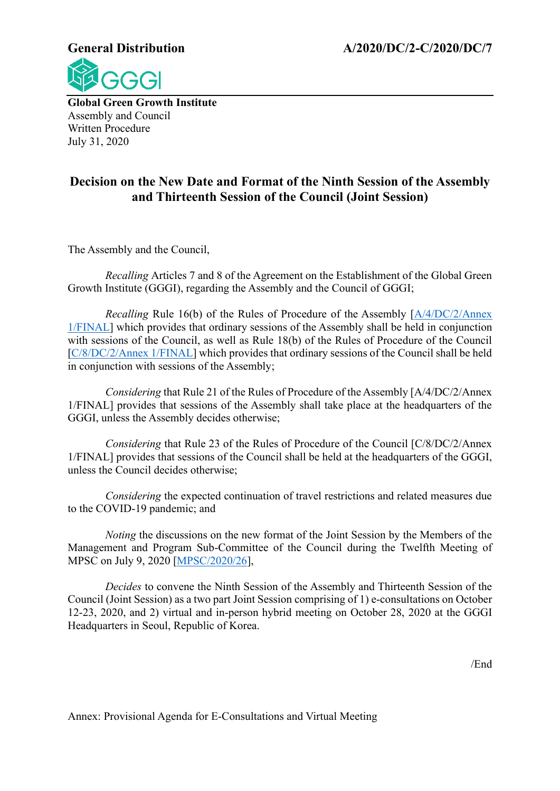**General Distribution A/2020/DC/2-C/2020/DC/7**



**Global Green Growth Institute** Assembly and Council Written Procedure July 31, 2020

## **Decision on the New Date and Format of the Ninth Session of the Assembly and Thirteenth Session of the Council (Joint Session)**

The Assembly and the Council,

*Recalling* Articles 7 and 8 of the Agreement on the Establishment of the Global Green Growth Institute (GGGI), regarding the Assembly and the Council of GGGI;

*Recalling* Rule 16(b) of the Rules of Procedure of the Assembly [\[A/4/DC/2/Annex](http://gggi.org/site/assets/uploads/2018/08/A.4.DC_.2_Decision-on-the-Revision-of-the-Rules-of-Procedure-of-the-Assembly_Final.pdf)  [1/FINAL\]](http://gggi.org/site/assets/uploads/2018/08/A.4.DC_.2_Decision-on-the-Revision-of-the-Rules-of-Procedure-of-the-Assembly_Final.pdf) which provides that ordinary sessions of the Assembly shall be held in conjunction with sessions of the Council, as well as Rule 18(b) of the Rules of Procedure of the Council [\[C/8/DC/2/Annex 1/FINAL\]](http://gggi.org/site/assets/uploads/2018/08/C.8.DC_.2.FINAL_Draft-Decision-on-the-Rules-of-Procedure-of-the-Council_Final.pdf) which provides that ordinary sessions of the Council shall be held in conjunction with sessions of the Assembly;

*Considering* that Rule 21 of the Rules of Procedure of the Assembly [A/4/DC/2/Annex 1/FINAL] provides that sessions of the Assembly shall take place at the headquarters of the GGGI, unless the Assembly decides otherwise;

*Considering* that Rule 23 of the Rules of Procedure of the Council [C/8/DC/2/Annex 1/FINAL] provides that sessions of the Council shall be held at the headquarters of the GGGI, unless the Council decides otherwise;

*Considering* the expected continuation of travel restrictions and related measures due to the COVID-19 pandemic; and

*Noting* the discussions on the new format of the Joint Session by the Members of the Management and Program Sub-Committee of the Council during the Twelfth Meeting of MPSC on July 9, 2020 [\[MPSC/2020/26\]](https://gggi.org/site/assets/uploads/2020/05/Assembly-and-Council-Joint-Sessions.pdf),

*Decides* to convene the Ninth Session of the Assembly and Thirteenth Session of the Council (Joint Session) as a two part Joint Session comprising of 1) e-consultations on October 12-23, 2020, and 2) virtual and in-person hybrid meeting on October 28, 2020 at the GGGI Headquarters in Seoul, Republic of Korea.